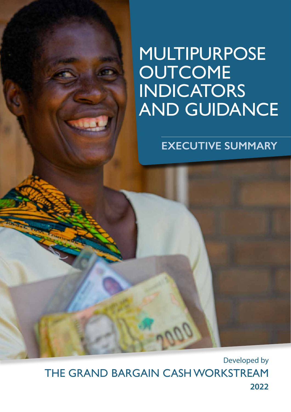# MULTIPURPOSE **OUTCOME** INDICATORS AND GUIDANCE

# **EXECUTIVE SUMMARY**

Developed by THE GRAND BARGAIN CASH WORKSTREAM **2022**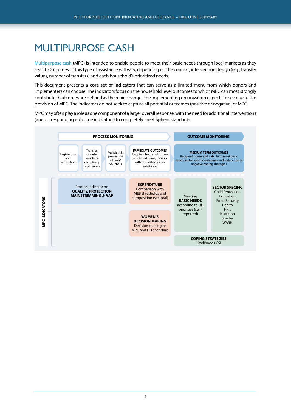### MULTIPURPOSE CASH

Multipurpose cash (MPC) is intended to enable people to meet their basic needs through local markets as they see fit. Outcomes of this type of assistance will vary, depending on the context, intervention design (e.g., transfer values, number of transfers) and each household's prioritized needs.

This document presents a **core set of indicators** that can serve as a limited menu from which donors and implementers can choose. The indicators focus on the household level outcomes to which MPC can most strongly contribute. Outcomes are defined as the main changes the implementing organization expects to see due to the provision of MPC. The indicators do not seek to capture all potential outcomes (positive or negative) of MPC.

MPC may often play a role as one component of a larger overall response, with the need for additional interventions (and corresponding outcome indicators) to completely meet Sphere standards.

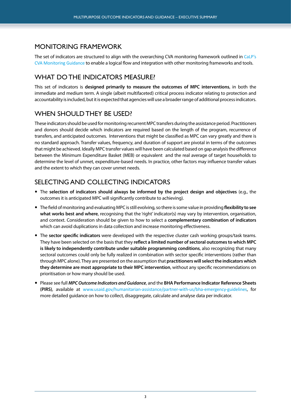#### MONITORING FRAMEWORK

The set of indicators are structured to align with the overarching CVA monitoring framework outlined in [CaLP's](https://www.calpnetwork.org/themes/monitoring-and-evaluation/) [CVA Monitoring Guidance](https://www.calpnetwork.org/themes/monitoring-and-evaluation/) to enable a logical flow and integration with other monitoring frameworks and tools.

#### WHAT DO THE INDICATORS MEASURE?

This set of indicators is **designed primarily to measure the outcomes of MPC interventions**, in both the immediate and medium term. A single (albeit multifaceted) critical process indicator relating to protection and accountability is included, but it is expected that agencies will use a broader range of additional process indicators.

#### WHEN SHOULD THEY BE USED?

These indicators should be used for monitoring recurrent MPC transfers during the assistance period. Practitioners and donors should decide which indicators are required based on the length of the program, recurrence of transfers, and anticipated outcomes. Interventions that might be classified as MPC can vary greatly and there is no standard approach. Transfer values, frequency, and duration of support are pivotal in terms of the outcomes that might be achieved. Ideally MPC transfer values will have been calculated based on gap analysis the difference between the Minimum Expenditure Basket (MEB) or equivalent and the real average of target households to determine the level of unmet, expenditure-based needs. In practice, other factors may influence transfer values and the extent to which they can cover unmet needs.

#### SELECTING AND COLLECTING INDICATORS

- The **selection of indicators should always be informed by the project design and objectives** (e.g., the outcomes it is anticipated MPC will significantly contribute to achieving).
- The field of monitoring and evaluating MPC is still evolving, so there is some value in providing **flexibility to see what works best and where**, recognising that the 'right' indicator(s) may vary by intervention, organisation, and context. Consideration should be given to how to select a **complementary combination of indicators** which can avoid duplications in data collection and increase monitoring effectiveness.
- The **sector specific indicators** were developed with the respective cluster cash working groups/task teams. They have been selected on the basis that they **reflect a limited number of sectoral outcomes to which MPC is likely to independently contribute under suitable programming conditions**, also recognizing that many sectoral outcomes could only be fully realized in combination with sector specific interventions (rather than through MPC alone). They are presented on the assumption that **practitioners will select the indicators which they determine are most appropriate to their MPC intervention**, without any specific recommendations on prioritisation or how many should be used.
- Please see full *MPC Outcome Indicators and Guidance*, and the **BHA Performance Indicator Reference Sheets (PIRS)**, available at [www.usaid.gov/humanitarian-assistance/partner-with-us/bha-emergency-guidelines](https://www.usaid.gov/humanitarian-assistance/partner-with-us/bha-emergency-guidelines), for more detailed guidance on how to collect, disaggregate, calculate and analyse data per indicator.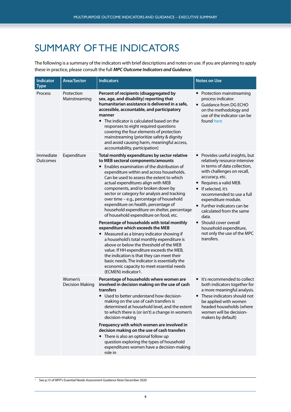## SUMMARY OF THE INDICATORS

The following is a summary of the indicators with brief descriptions and notes on use. If you are planning to apply these in practice, please consult the full *MPC Outcome Indicators and Guidance*.

| <b>Indicator</b><br><b>Type</b> | <b>Area/Sector</b>          | <b>Indicators</b>                                                                                                                                                                                                                                                                                                                                                                                                                                                                                                                                                                                                                                                                                                                                                                                                                                                                                               | <b>Notes on Use</b>                                                                                                                                                                                                                                                                                                                                                                                                                |
|---------------------------------|-----------------------------|-----------------------------------------------------------------------------------------------------------------------------------------------------------------------------------------------------------------------------------------------------------------------------------------------------------------------------------------------------------------------------------------------------------------------------------------------------------------------------------------------------------------------------------------------------------------------------------------------------------------------------------------------------------------------------------------------------------------------------------------------------------------------------------------------------------------------------------------------------------------------------------------------------------------|------------------------------------------------------------------------------------------------------------------------------------------------------------------------------------------------------------------------------------------------------------------------------------------------------------------------------------------------------------------------------------------------------------------------------------|
| Process                         | Protection<br>Mainstreaming | Percent of recipients (disaggregated by<br>sex, age, and disability) reporting that<br>humanitarian assistance is delivered in a safe,<br>accessible, accountable, and participatory<br>manner<br>• The indicator is calculated based on the<br>responses to eight required questions<br>covering the four elements of protection<br>mainstreaming (prioritize safety & dignity<br>and avoid causing harm, meaningful access,<br>accountability, participation)                                                                                                                                                                                                                                                                                                                                                                                                                                                 | • Protection mainstreaming<br>process indicator.<br>• Guidance from DG ECHO<br>on the methodology and<br>use of the indicator can be<br>found here                                                                                                                                                                                                                                                                                 |
| Immediate<br>Outcomes           | Expenditure                 | Total monthly expenditures by sector relative<br>to MEB sectoral components/amounts<br>• Enables examination of the distribution of<br>expenditure within and across households.<br>Can be used to assess the extent to which<br>actual expenditures align with MEB<br>components, and/or broken down by<br>sector or category for analysis and tracking<br>over time - e.g., percentage of household<br>expenditure on health, percentage of<br>household expenditure on shelter, percentage<br>of household expenditure on food, etc.<br>Percentage of households with total monthly<br>expenditure which exceeds the MEB<br>• Measured as a binary indicator showing if<br>a household's total monthly expenditure is<br>above or below the threshold of the MEB<br>value. If HH expenditure exceeds the MEB,<br>the indication is that they can meet their<br>basic needs. The indicator is essentially the | • Provides useful insights, but<br>relatively resource intensive<br>in terms of data collection,<br>with challenges on recall,<br>accuracy, etc.<br>Requires a valid MEB.<br>$\bullet$<br>• If selected, it's<br>recommended to use a full<br>expenditure module.<br>Further indicators can be<br>calculated from the same<br>data.<br>Should cover overall<br>household expenditure,<br>not only the use of the MPC<br>transfers. |
|                                 | Women's                     | economic capacity to meet essential needs<br>(ECMEN) indicator1.<br>Percentage of households where women are                                                                                                                                                                                                                                                                                                                                                                                                                                                                                                                                                                                                                                                                                                                                                                                                    | It's recommended to collect                                                                                                                                                                                                                                                                                                                                                                                                        |
|                                 | <b>Decision Making</b>      | involved in decision making on the use of cash<br>transfers<br>Used to better understand how decision-<br>making on the use of cash transfers is<br>determined at household level, and the extent<br>to which there is (or isn't) a change in women's<br>decision-making                                                                                                                                                                                                                                                                                                                                                                                                                                                                                                                                                                                                                                        | both indicators together for<br>a more meaningful analysis.<br>These indicators should not<br>be applied with women<br>headed households (where<br>women will be decision-<br>makers by default)                                                                                                                                                                                                                                   |
|                                 |                             | Frequency with which women are involved in<br>decision making on the use of cash transfers<br>• There is also an optional follow up<br>question exploring the types of household<br>expenditures women have a decision-making<br>role in                                                                                                                                                                                                                                                                                                                                                                                                                                                                                                                                                                                                                                                                        |                                                                                                                                                                                                                                                                                                                                                                                                                                    |

<sup>&</sup>lt;sup>1</sup> See p.15 of WFP's [Essential Needs Assessment Guidance Note](https://docs.wfp.org/api/documents/WFP-0000074197/download/?_ga=2.162763768.599709074.1629986064-12876208.1617832239) December 2020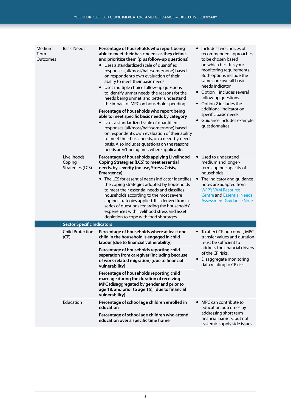| Medium<br>Term<br>Outcomes | <b>Basic Needs</b>                        | Percentage of households who report being<br>able to meet their basic needs as they define<br>and prioritize them (plus follow-up questions)<br>• Uses a standardized scale of quantified<br>responses (all/most/half/some/none) based<br>on respondent's own evaluation of their<br>ability to meet their basic needs.<br>• Uses multiple choice follow-up questions<br>to identify unmet needs, the reasons for the<br>needs being unmet, and better understand<br>the impact of MPC on household spending.<br>Percentage of households who report being<br>able to meet specific basic needs by category<br>• Uses a standardized scale of quantified<br>responses (all/most/half/some/none) based<br>on respondent's own evaluation of their ability<br>to meet their basic needs, on a need-by-need<br>basis. Also includes questions on the reasons<br>needs aren't being met, where applicable. | Includes two choices of<br>$\bullet$<br>recommended approaches,<br>to be chosen based<br>on which best fits your<br>monitoring requirements.<br>Both options include the<br>same core overall basic<br>needs indicator.<br>• Option 1 includes several<br>follow-up questions.<br>• Option 2 includes the<br>additional indicator on<br>specific basic needs.<br>• Guidance includes example<br>questionnaires |  |  |
|----------------------------|-------------------------------------------|--------------------------------------------------------------------------------------------------------------------------------------------------------------------------------------------------------------------------------------------------------------------------------------------------------------------------------------------------------------------------------------------------------------------------------------------------------------------------------------------------------------------------------------------------------------------------------------------------------------------------------------------------------------------------------------------------------------------------------------------------------------------------------------------------------------------------------------------------------------------------------------------------------|----------------------------------------------------------------------------------------------------------------------------------------------------------------------------------------------------------------------------------------------------------------------------------------------------------------------------------------------------------------------------------------------------------------|--|--|
|                            | Livelihoods<br>Coping<br>Strategies (LCS) | Percentage of households applying Livelihood<br><b>Coping Strategies (LCS) to meet essential</b><br>needs, by severity (no use, Stress, Crisis,<br>Emergency)<br>The LCS for essential needs indicator identifies<br>the coping strategies adopted by households<br>to meet their essential needs and classifies<br>households according to the most severe<br>coping strategies applied. It is derived from a<br>series of questions regarding the households'<br>experiences with livelihood stress and asset<br>depletion to cope with food shortages.                                                                                                                                                                                                                                                                                                                                              | Used to understand<br>$\bullet$<br>medium and longer-<br>term coping capacity of<br>households<br>The indicator and guidance<br>$\bullet$<br>notes are adapted from<br><b>WFP's VAM Resource</b><br><b>Centre and Essential Needs</b><br><b>Assessment Guidance Note</b>                                                                                                                                       |  |  |
|                            | <b>Sector Specific Indicators</b>         |                                                                                                                                                                                                                                                                                                                                                                                                                                                                                                                                                                                                                                                                                                                                                                                                                                                                                                        |                                                                                                                                                                                                                                                                                                                                                                                                                |  |  |
|                            | <b>Child Protection</b><br>(CP)           | Percentage of households where at least one<br>child in the household is engaged in child<br>labour [due to financial vulnerability]                                                                                                                                                                                                                                                                                                                                                                                                                                                                                                                                                                                                                                                                                                                                                                   | • To affect CP outcomes, MPC<br>transfer values and duration<br>must be sufficient to                                                                                                                                                                                                                                                                                                                          |  |  |
|                            |                                           | Percentage of households reporting child<br>separation from caregiver (including because<br>of work-related migration) [due to financial<br>vulnerability]                                                                                                                                                                                                                                                                                                                                                                                                                                                                                                                                                                                                                                                                                                                                             | address the financial drivers<br>of the CP risks.<br>• Disaggregate monitoring<br>data relating to CP risks.                                                                                                                                                                                                                                                                                                   |  |  |
|                            |                                           | Percentage of households reporting child<br>marriage during the duration of receiving<br>MPC (disaggregated by gender and prior to<br>age 18, and prior to age 15), [due to financial<br>vulnerability]                                                                                                                                                                                                                                                                                                                                                                                                                                                                                                                                                                                                                                                                                                |                                                                                                                                                                                                                                                                                                                                                                                                                |  |  |
|                            | Education                                 | Percentage of school age children enrolled in<br>education                                                                                                                                                                                                                                                                                                                                                                                                                                                                                                                                                                                                                                                                                                                                                                                                                                             | • MPC can contribute to<br>education outcomes by                                                                                                                                                                                                                                                                                                                                                               |  |  |
|                            |                                           | Percentage of school age children who attend<br>education over a specific time frame                                                                                                                                                                                                                                                                                                                                                                                                                                                                                                                                                                                                                                                                                                                                                                                                                   | addressing short term<br>financial barriers, but not<br>systemic supply side issues.                                                                                                                                                                                                                                                                                                                           |  |  |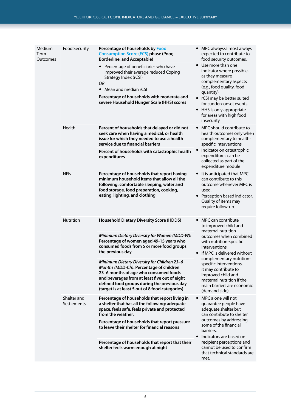| Medium<br>Term<br>Outcomes | <b>Food Security</b>       | Percentage of households by Food<br><b>Consumption Score (FCS) phase (Poor,</b><br><b>Borderline, and Acceptable)</b><br>Percentage of beneficiaries who have<br>improved their average reduced Coping<br>Strategy Index (rCSI)<br>OR<br>• Mean and median rCSI<br>Percentage of households with moderate and<br>severe Household Hunger Scale (HHS) scores | MPC always/almost always<br>expected to contribute to<br>food security outcomes.<br>• Use more than one<br>indicator where possible,<br>as they measure<br>complementary aspects<br>(e.g., food quality, food<br>quantity)<br>• rCSI may be better suited<br>for sudden-onset events<br>• HHS is only appropriate<br>for areas with high food<br>insecurity            |
|----------------------------|----------------------------|-------------------------------------------------------------------------------------------------------------------------------------------------------------------------------------------------------------------------------------------------------------------------------------------------------------------------------------------------------------|------------------------------------------------------------------------------------------------------------------------------------------------------------------------------------------------------------------------------------------------------------------------------------------------------------------------------------------------------------------------|
|                            | Health                     | Percent of households that delayed or did not<br>seek care when having a medical, or health<br>issue for which they needed to use a health<br>service due to financial barriers                                                                                                                                                                             | MPC should contribute to<br>$\bullet$<br>health outcomes only when<br>complementary to health-<br>specific interventions                                                                                                                                                                                                                                               |
|                            |                            | Percent of households with catastrophic health<br>expenditures                                                                                                                                                                                                                                                                                              | • Indicator on catastrophic<br>expenditures can be<br>collected as part of the<br>expenditure module                                                                                                                                                                                                                                                                   |
|                            | <b>NFIs</b>                | Percentage of households that report having<br>minimum household items that allow all the<br>following: comfortable sleeping, water and<br>food storage, food preparation, cooking,<br>eating, lighting, and clothing                                                                                                                                       | • It is anticipated that MPC<br>can contribute to this<br>outcome whenever MPC is<br>used.<br>Perception based indicator.<br>$\bullet$<br>Quality of items may<br>require follow-up.                                                                                                                                                                                   |
|                            | Nutrition                  | <b>Household Dietary Diversity Score (HDDS)</b>                                                                                                                                                                                                                                                                                                             | MPC can contribute<br>to improved child and<br>maternal nutrition<br>outcomes when combined<br>with nutrition-specific<br>interventions.<br>If MPC is delivered without<br>$\bullet$<br>complementary nutrition-<br>specific interventions.<br>it may contribute to<br>improved child and<br>maternal nutrition if the<br>main barriers are economic<br>(demand side). |
|                            |                            | Minimum Dietary Diversity for Women (MDD-W):<br>Percentage of women aged 49-15 years who<br>consumed foods from 5 or more food groups<br>the previous day.                                                                                                                                                                                                  |                                                                                                                                                                                                                                                                                                                                                                        |
|                            |                            | Minimum Dietary Diversity for Children 23-6<br>Months (MDD-Ch): Percentage of children<br>23-6 months of age who consumed foods<br>and beverages from at least five out of eight<br>defined food groups during the previous day<br>(target is at least 5 out of 8 food categories)                                                                          |                                                                                                                                                                                                                                                                                                                                                                        |
|                            | Shelter and<br>Settlements | Percentage of households that report living in<br>a shelter that has all the following: adequate<br>space, feels safe, feels private and protected<br>from the weather.                                                                                                                                                                                     | MPC alone will not<br>$\bullet$<br>guarantee people have<br>adequate shelter but<br>can contribute to shelter<br>outcomes by addressing<br>some of the financial<br>barriers.<br>Indicators are based on<br>$\bullet$<br>recipient perceptions and<br>cannot be used to confirm<br>that technical standards are<br>met.                                                |
|                            |                            | Percentage of households that report pressure<br>to leave their shelter for financial reasons                                                                                                                                                                                                                                                               |                                                                                                                                                                                                                                                                                                                                                                        |
|                            |                            | Percentage of households that report that their<br>shelter feels warm enough at night                                                                                                                                                                                                                                                                       |                                                                                                                                                                                                                                                                                                                                                                        |